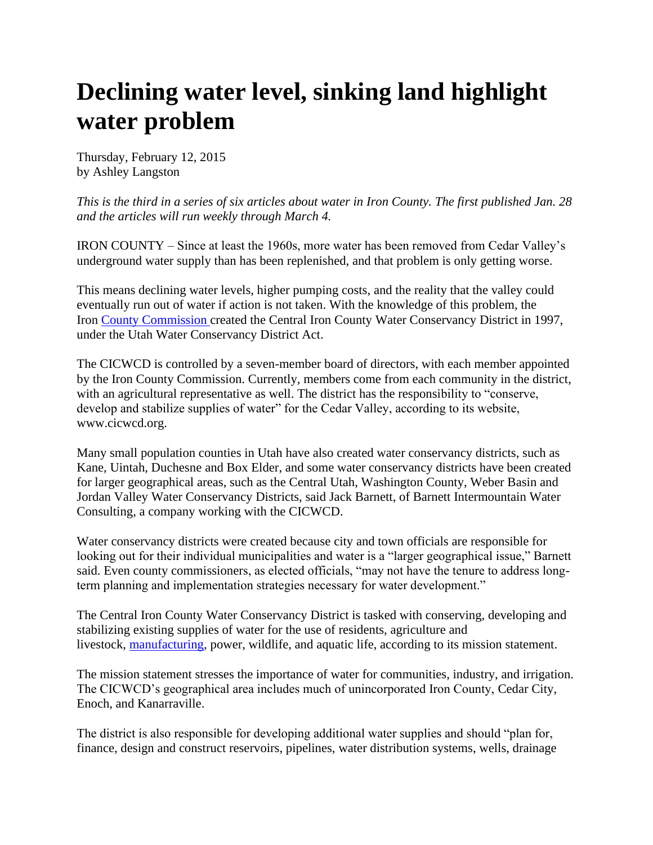## **Declining water level, sinking land highlight water problem**

Thursday, February 12, 2015 by Ashley Langston

*This is the third in a series of six articles about water in Iron County. The first published Jan. 28 and the articles will run weekly through March 4.*

IRON COUNTY – Since at least the 1960s, more water has been removed from Cedar Valley's underground water supply than has been replenished, and that problem is only getting worse.

This means declining water levels, higher pumping costs, and the reality that the valley could eventually run out of water if action is not taken. With the knowledge of this problem, the Iron [County Commission](http://www.ironcountytoday.com/view/full_story/26463519/article-Declining-water-level--sinking-land-highlight-water-problem?instance=secondary_stories_left_column) created the Central Iron County Water Conservancy District in 1997, under the Utah Water Conservancy District Act.

The CICWCD is controlled by a seven-member board of directors, with each member appointed by the Iron County Commission. Currently, members come from each community in the district, with an agricultural representative as well. The district has the responsibility to "conserve, develop and stabilize supplies of water" for the Cedar Valley, according to its website, www.cicwcd.org.

Many small population counties in Utah have also created water conservancy districts, such as Kane, Uintah, Duchesne and Box Elder, and some water conservancy districts have been created for larger geographical areas, such as the Central Utah, Washington County, Weber Basin and Jordan Valley Water Conservancy Districts, said Jack Barnett, of Barnett Intermountain Water Consulting, a company working with the CICWCD.

Water conservancy districts were created because city and town officials are responsible for looking out for their individual municipalities and water is a "larger geographical issue," Barnett said. Even county commissioners, as elected officials, "may not have the tenure to address longterm planning and implementation strategies necessary for water development."

The Central Iron County Water Conservancy District is tasked with conserving, developing and stabilizing existing supplies of water for the use of residents, agriculture and livestock, [manufacturing,](http://www.ironcountytoday.com/view/full_story/26463519/article-Declining-water-level--sinking-land-highlight-water-problem?instance=secondary_stories_left_column) power, wildlife, and aquatic life, according to its mission statement.

The mission statement stresses the importance of water for communities, industry, and irrigation. The CICWCD's geographical area includes much of unincorporated Iron County, Cedar City, Enoch, and Kanarraville.

The district is also responsible for developing additional water supplies and should "plan for, finance, design and construct reservoirs, pipelines, water distribution systems, wells, drainage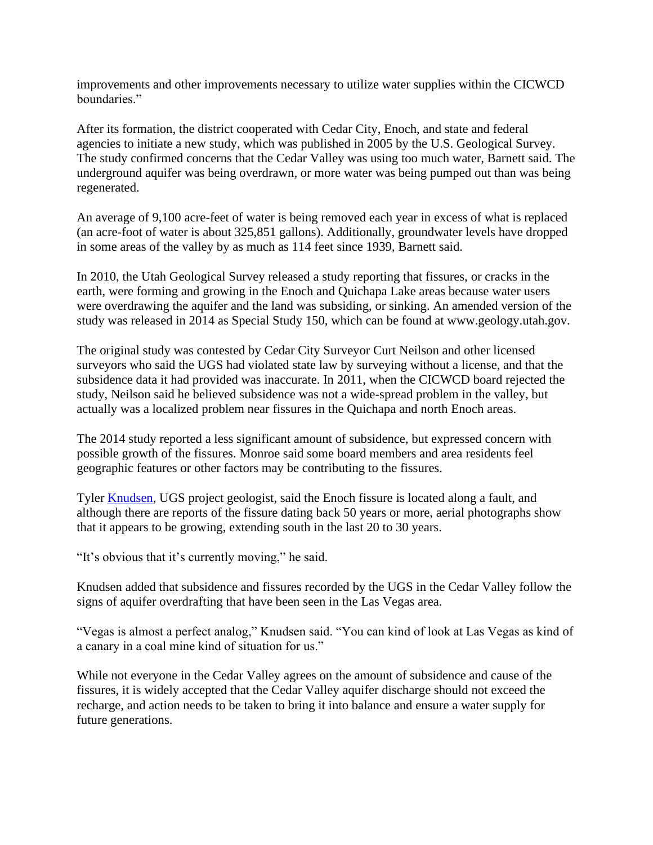improvements and other improvements necessary to utilize water supplies within the CICWCD boundaries."

After its formation, the district cooperated with Cedar City, Enoch, and state and federal agencies to initiate a new study, which was published in 2005 by the U.S. Geological Survey. The study confirmed concerns that the Cedar Valley was using too much water, Barnett said. The underground aquifer was being overdrawn, or more water was being pumped out than was being regenerated.

An average of 9,100 acre-feet of water is being removed each year in excess of what is replaced (an acre-foot of water is about 325,851 gallons). Additionally, groundwater levels have dropped in some areas of the valley by as much as 114 feet since 1939, Barnett said.

In 2010, the Utah Geological Survey released a study reporting that fissures, or cracks in the earth, were forming and growing in the Enoch and Quichapa Lake areas because water users were overdrawing the aquifer and the land was subsiding, or sinking. An amended version of the study was released in 2014 as Special Study 150, which can be found at www.geology.utah.gov.

The original study was contested by Cedar City Surveyor Curt Neilson and other licensed surveyors who said the UGS had violated state law by surveying without a license, and that the subsidence data it had provided was inaccurate. In 2011, when the CICWCD board rejected the study, Neilson said he believed subsidence was not a wide-spread problem in the valley, but actually was a localized problem near fissures in the Quichapa and north Enoch areas.

The 2014 study reported a less significant amount of subsidence, but expressed concern with possible growth of the fissures. Monroe said some board members and area residents feel geographic features or other factors may be contributing to the fissures.

Tyler **Knudsen**, UGS project geologist, said the Enoch fissure is located along a fault, and although there are reports of the fissure dating back 50 years or more, aerial photographs show that it appears to be growing, extending south in the last 20 to 30 years.

"It's obvious that it's currently moving," he said.

Knudsen added that subsidence and fissures recorded by the UGS in the Cedar Valley follow the signs of aquifer overdrafting that have been seen in the Las Vegas area.

"Vegas is almost a perfect analog," Knudsen said. "You can kind of look at Las Vegas as kind of a canary in a coal mine kind of situation for us."

While not everyone in the Cedar Valley agrees on the amount of subsidence and cause of the fissures, it is widely accepted that the Cedar Valley aquifer discharge should not exceed the recharge, and action needs to be taken to bring it into balance and ensure a water supply for future generations.